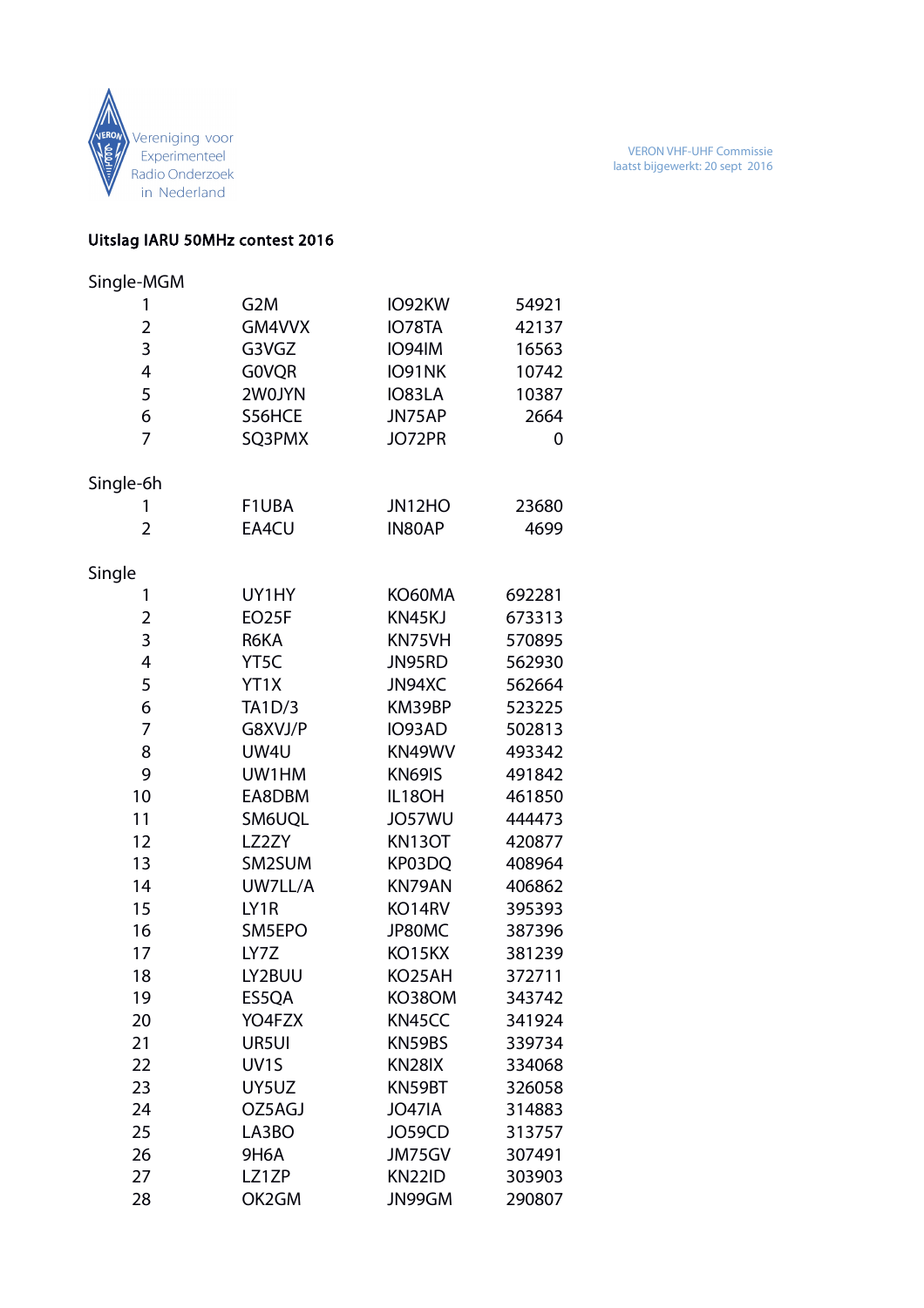

## Uitslag IARU 50MHz contest 2016

| Single-MGM               |                   |               |        |
|--------------------------|-------------------|---------------|--------|
| 1                        | G <sub>2</sub> M  | IO92KW        | 54921  |
| $\overline{2}$           | GM4VVX            | IO78TA        | 42137  |
| 3                        | G3VGZ             | <b>IO94IM</b> | 16563  |
| $\overline{4}$           | <b>GOVQR</b>      | IO91NK        | 10742  |
| 5                        | 2W0JYN            | IO83LA        | 10387  |
| 6                        | S56HCE            | JN75AP        | 2664   |
| $\overline{7}$           | SQ3PMX            | JO72PR        | 0      |
| Single-6h                |                   |               |        |
| 1                        | F1UBA             | JN12HO        | 23680  |
| $\overline{2}$           | EA4CU             | IN80AP        | 4699   |
| Single                   |                   |               |        |
| 1                        | UY1HY             | KO60MA        | 692281 |
| 2                        | EO25F             | KN45KJ        | 673313 |
| 3                        | R6KA              | KN75VH        | 570895 |
| $\overline{\mathcal{A}}$ | YT <sub>5</sub> C | JN95RD        | 562930 |
| 5                        | YT1X              | JN94XC        | 562664 |
| 6                        | TA1D/3            | KM39BP        | 523225 |
| 7                        | G8XVJ/P           | IO93AD        | 502813 |
| 8                        | UW4U              | KN49WV        | 493342 |
| 9                        | UW1HM             | KN69IS        | 491842 |
| 10                       | EA8DBM            | IL18OH        | 461850 |
| 11                       | SM6UQL            | JO57WU        | 444473 |
| 12                       | LZ2ZY             | <b>KN13OT</b> | 420877 |
| 13                       | SM2SUM            | KP03DQ        | 408964 |
| 14                       | UW7LL/A           | KN79AN        | 406862 |
| 15                       | LY1R              | KO14RV        | 395393 |
| 16                       | SM5EPO            | JP80MC        | 387396 |
| 17                       | LY7Z              | KO15KX        | 381239 |
| 18                       | LY2BUU            | KO25AH        | 372711 |
| 19                       | ES5QA             | <b>KO38OM</b> | 343742 |
| 20                       | YO4FZX            | KN45CC        | 341924 |
| 21                       | UR5UI             | KN59BS        | 339734 |
| 22                       | UV <sub>1</sub> S | KN28IX        | 334068 |
| 23                       | UY5UZ             | KN59BT        | 326058 |
| 24                       | OZ5AGJ            | <b>JO47IA</b> | 314883 |
| 25                       | LA3BO             | JO59CD        | 313757 |
| 26                       | <b>9H6A</b>       | JM75GV        | 307491 |
| 27                       | LZ1ZP             | <b>KN22ID</b> | 303903 |
| 28                       | OK2GM             | JN99GM        | 290807 |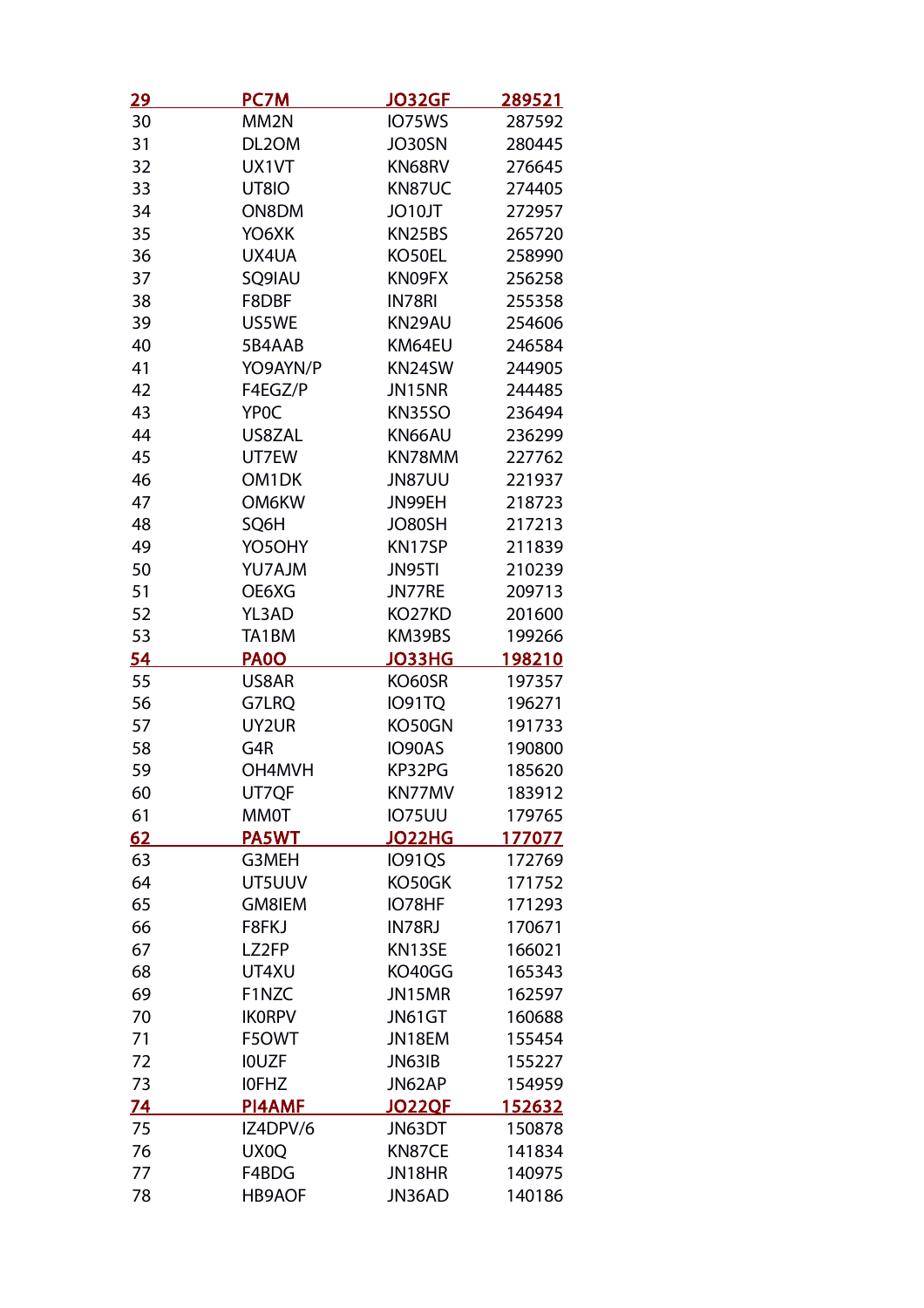| <u>29</u> | <b>PC7M</b>       | <b>JO32GF</b> | <u>289521</u> |
|-----------|-------------------|---------------|---------------|
| 30        | MM <sub>2N</sub>  | IO75WS        | 287592        |
| 31        | DL2OM             | JO30SN        | 280445        |
| 32        | UX1VT             | KN68RV        | 276645        |
| 33        | UT8IO             | KN87UC        | 274405        |
| 34        | ON8DM             | JO10JT        | 272957        |
| 35        | YO6XK             | KN25BS        | 265720        |
| 36        | UX4UA             | KO50EL        | 258990        |
| 37        | SQ9IAU            | KN09FX        | 256258        |
| 38        | F8DBF             | IN78RI        | 255358        |
| 39        | US5WE             | KN29AU        | 254606        |
| 40        | 5B4AAB            | KM64EU        | 246584        |
| 41        | YO9AYN/P          | KN24SW        | 244905        |
| 42        | F4EGZ/P           | JN15NR        | 244485        |
| 43        | YP <sub>0</sub> C | <b>KN35SO</b> | 236494        |
| 44        | US8ZAL            | KN66AU        | 236299        |
| 45        | UT7EW             | KN78MM        | 227762        |
| 46        | OM1DK             | <b>JN87UU</b> | 221937        |
| 47        | <b>OM6KW</b>      | JN99EH        | 218723        |
| 48        | SQ6H              | JO80SH        | 217213        |
| 49        | YO5OHY            | KN17SP        | 211839        |
| 50        | YU7AJM            | JN95TI        | 210239        |
| 51        | OE6XG             | JN77RE        | 209713        |
| 52        | YL3AD             | KO27KD        | 201600        |
| 53        | TA1BM             | KM39BS        | 199266        |
| 54        | <b>PA00</b>       | <b>JO33HG</b> | 198210        |
| 55        | US8AR             | KO60SR        | 197357        |
| 56        | G7LRQ             | <b>IO91TQ</b> | 196271        |
| 57        | UY2UR             | KO50GN        | 191733        |
| 58        | G4R               | IO90AS        | 190800        |
| 59        | OH4MVH            | KP32PG        | 185620        |
| 60        | UT7QF             | KN77MV        | 183912        |
| 61        | <b>MM0T</b>       | <b>IO75UU</b> | 179765        |
| 62        | <b>PA5WT</b>      | <b>JO22HG</b> | 177077        |
| 63        | G3MEH             | <b>IO91QS</b> | 172769        |
| 64        | UT5UUV            | KO50GK        | 171752        |
| 65        | <b>GM8IEM</b>     | IO78HF        | 171293        |
| 66        | F8FKJ             | IN78RJ        | 170671        |
| 67        | LZ2FP             | KN13SE        | 166021        |
| 68        | UT4XU             | KO40GG        | 165343        |
| 69        | F1NZC             | JN15MR        | 162597        |
| 70        | <b>IKORPV</b>     | JN61GT        | 160688        |
| 71        | F5OWT             | JN18EM        | 155454        |
| 72        | <b>IOUZF</b>      | JN63IB        | 155227        |
| 73        | <b>IOFHZ</b>      | JN62AP        | 154959        |
| <u>74</u> | <b>PI4AMF</b>     | <b>JO22QF</b> | 152632        |
| 75        | IZ4DPV/6          | JN63DT        | 150878        |
| 76        | UX0Q              | KN87CE        | 141834        |
| 77        | F4BDG             | JN18HR        | 140975        |
| 78        | <b>HB9AOF</b>     | JN36AD        | 140186        |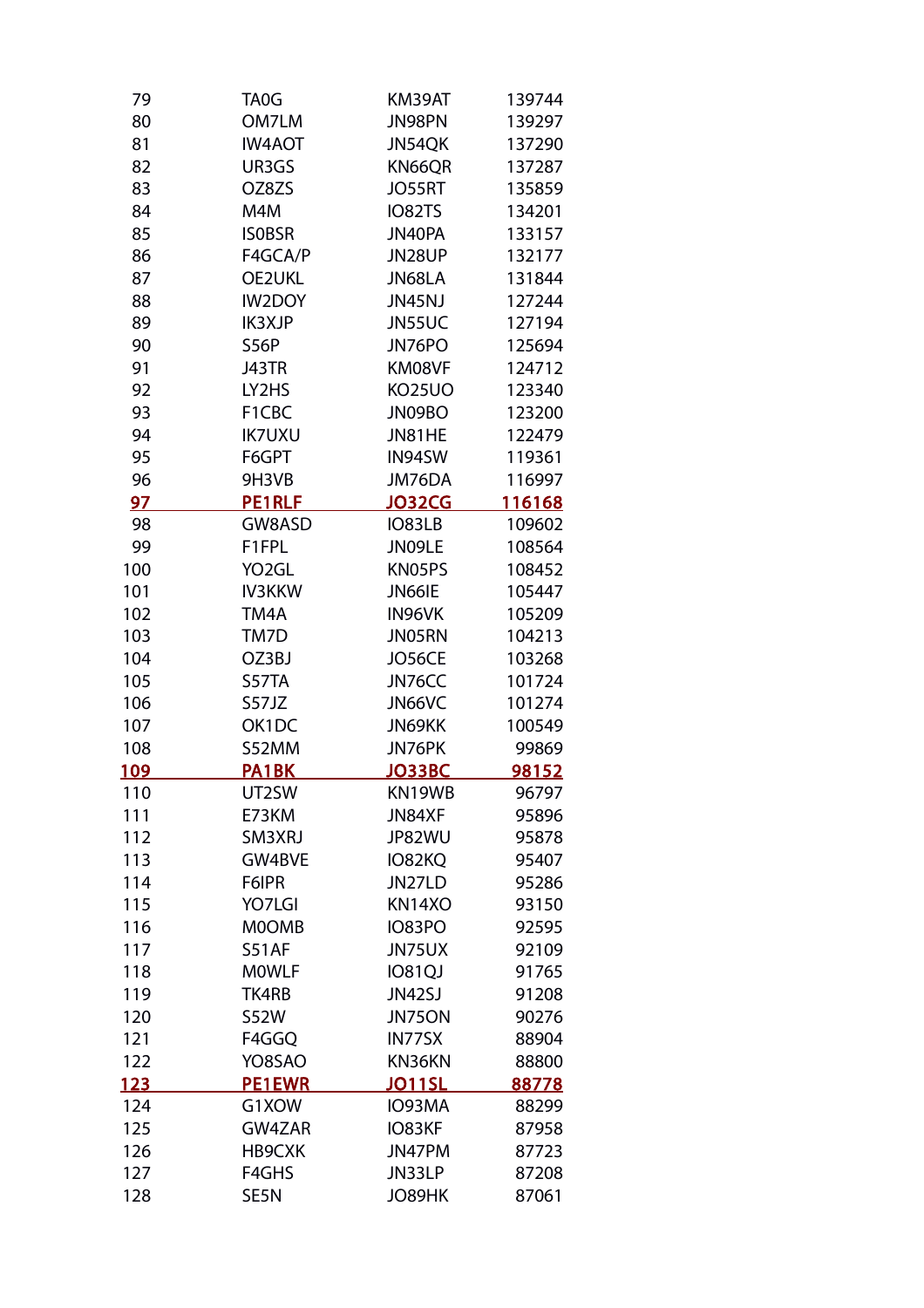| 79         | TA0G               | KM39AT        | 139744         |
|------------|--------------------|---------------|----------------|
| 80         | OM7LM              | JN98PN        | 139297         |
| 81         | <b>IW4AOT</b>      | JN54QK        | 137290         |
| 82         | UR3GS              | KN66QR        | 137287         |
| 83         | OZ8ZS              | <b>JO55RT</b> | 135859         |
|            |                    |               |                |
| 84         | M4M                | <b>IO82TS</b> | 134201         |
| 85         | <b>ISOBSR</b>      | JN40PA        | 133157         |
| 86         | F4GCA/P            | JN28UP        | 132177         |
| 87         | <b>OE2UKL</b>      | JN68LA        | 131844         |
| 88         | <b>IW2DOY</b>      | JN45NJ        | 127244         |
| 89         | <b>IK3XJP</b>      | JN55UC        | 127194         |
| 90         | <b>S56P</b>        | JN76PO        | 125694         |
| 91         | J43TR              | KM08VF        | 124712         |
| 92         | LY2HS              | <b>KO25UO</b> | 123340         |
| 93         | F1CBC              | JN09BO        | 123200         |
| 94         | <b>IK7UXU</b>      | JN81HE        | 122479         |
| 95         | F6GPT              | IN94SW        | 119361         |
| 96         | 9H3VB              | JM76DA        | 116997         |
| 97         | <b>PE1RLF</b>      | <b>JO32CG</b> | <u> 116168</u> |
| 98         | GW8ASD             | IO83LB        | 109602         |
| 99         | F1FPL              | JN09LE        | 108564         |
| 100        | YO <sub>2</sub> GL | KN05PS        | 108452         |
| 101        | <b>IV3KKW</b>      | JN66IE        | 105447         |
| 102        | TM4A               | IN96VK        | 105209         |
| 103        | TM7D               | JN05RN        | 104213         |
| 104        | OZ3BJ              | JO56CE        | 103268         |
| 105        | S57TA              | JN76CC        | 101724         |
| 106        | S57JZ              | JN66VC        | 101274         |
| 107        | OK1DC              | JN69KK        | 100549         |
| 108        | S52MM              | JN76PK        | 99869          |
| <u>109</u> | PA1BK              | JO33BC        | 98152          |
| 110        | UT2SW              | KN19WB        | 96797          |
| 111        | E73KM              | JN84XF        | 95896          |
| 112        | SM3XRJ             | JP82WU        | 95878          |
| 113        | GW4BVE             | IO82KQ        | 95407          |
| 114        | F6IPR              | JN27LD        | 95286          |
| 115        | YO7LGI             | KN14XO        | 93150          |
| 116        | <b>MOOMB</b>       | <b>IO83PO</b> | 92595          |
| 117        | <b>S51AF</b>       | JN75UX        |                |
|            |                    |               | 92109          |
| 118        | <b>MOWLF</b>       | <b>IO81QJ</b> | 91765          |
| 119        | TK4RB              | JN42SJ        | 91208          |
| 120        | <b>S52W</b>        | JN75ON        | 90276          |
| 121        | F4GGQ              | IN77SX        | 88904          |
| 122        | YO8SAO             | KN36KN        | 88800          |
| <u>123</u> | <b>PE1EWR</b>      | <b>JO11SL</b> | 88778          |
| 124        | G1XOW              | IO93MA        | 88299          |
| 125        | GW4ZAR             | IO83KF        | 87958          |
| 126        | HB9CXK             | JN47PM        | 87723          |
| 127        | F4GHS              | JN33LP        | 87208          |
| 128        | SE5N               | JO89HK        | 87061          |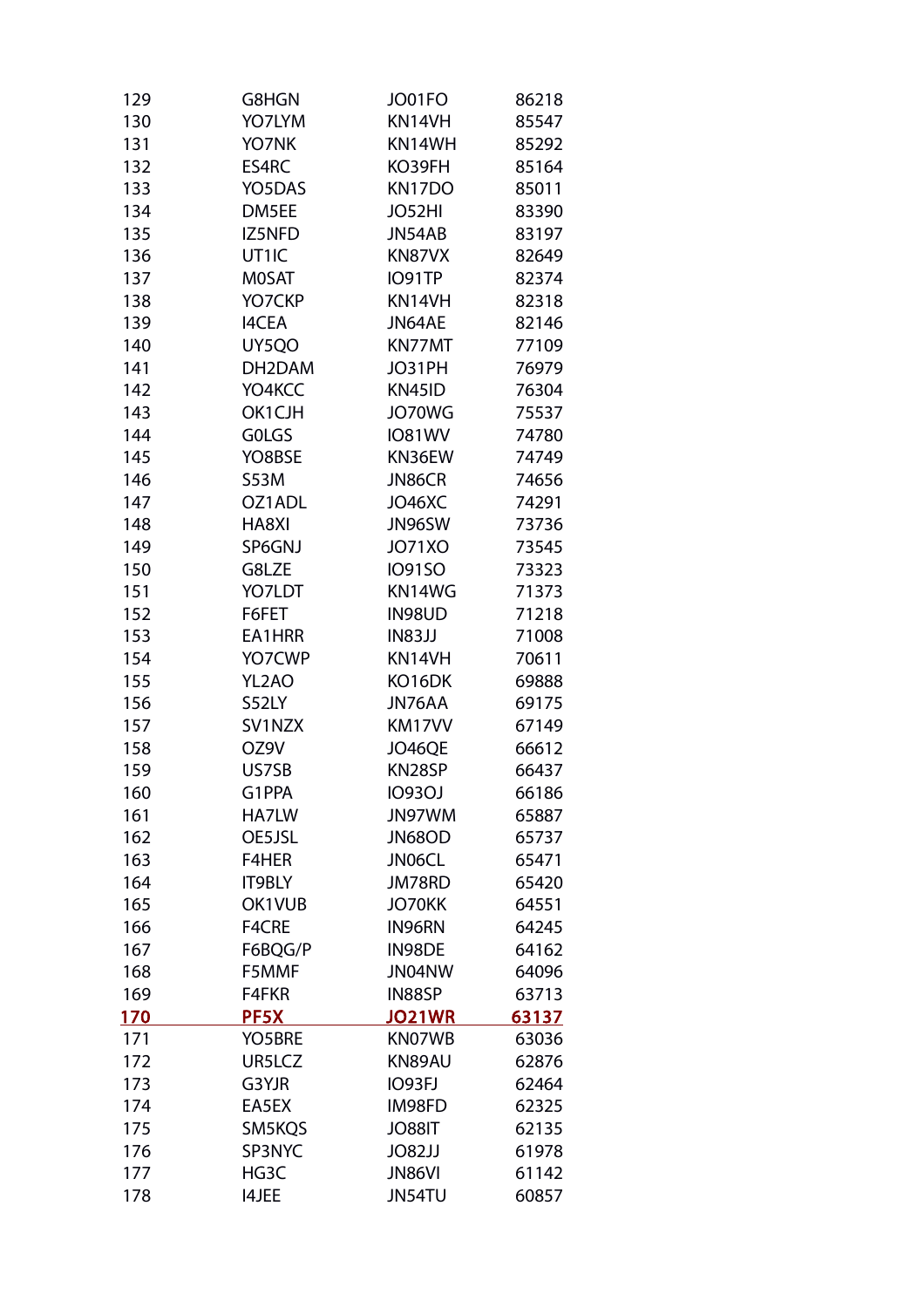| 129         | G8HGN         | JO01FO        | 86218 |
|-------------|---------------|---------------|-------|
| 130         | YO7LYM        | KN14VH        | 85547 |
| 131         | YO7NK         | KN14WH        | 85292 |
| 132         | ES4RC         | KO39FH        | 85164 |
| 133         | YO5DAS        | KN17DO        | 85011 |
| 134         | DM5EE         | JO52HI        | 83390 |
| 135         | IZ5NFD        | JN54AB        | 83197 |
| 136         | UT1IC         | KN87VX        | 82649 |
| 137         | <b>MOSAT</b>  | IO91TP        | 82374 |
| 138         | YO7CKP        | KN14VH        | 82318 |
| 139         | <b>I4CEA</b>  | JN64AE        | 82146 |
| 140         | UY5QO         | KN77MT        | 77109 |
| 141         | DH2DAM        | JO31PH        | 76979 |
| 142         | YO4KCC        | KN45ID        | 76304 |
| 143         | OK1CJH        | JO70WG        | 75537 |
| 144         | <b>GOLGS</b>  | <b>IO81WV</b> | 74780 |
| 145         | YO8BSE        | KN36EW        | 74749 |
| 146         | <b>S53M</b>   | JN86CR        | 74656 |
| 147         | OZ1ADL        | JO46XC        | 74291 |
| 148         | HA8XI         | JN96SW        | 73736 |
| 149         | SP6GNJ        | JO71XO        | 73545 |
| 150         | G8LZE         | <b>IO91SO</b> | 73323 |
| 151         | YO7LDT        | KN14WG        | 71373 |
| 152         | F6FET         | IN98UD        | 71218 |
| 153         | EA1HRR        | IN83JJ        | 71008 |
| 154         | YO7CWP        | KN14VH        | 70611 |
| 155         | YL2AO         | KO16DK        | 69888 |
| 156         | S52LY         | JN76AA        | 69175 |
| 157         | SV1NZX        | KM17VV        | 67149 |
| 158         | OZ9V          | JO46QE        | 66612 |
| 159         | US7SB         | KN28SP        | 66437 |
| 160         | G1PPA         | <b>IO93OJ</b> | 66186 |
| 161         | HA7LW         | JN97WM        | 65887 |
| 162         | OE5JSL        | JN68OD        | 65737 |
| 163         | F4HER         | JN06CL        | 65471 |
| 164         | <b>IT9BLY</b> | JM78RD        | 65420 |
| 165         | OK1VUB        | JO70KK        | 64551 |
| 166         | F4CRE         | IN96RN        | 64245 |
| 167         | F6BQG/P       | IN98DE        | 64162 |
| 168         | F5MMF         | JN04NW        | 64096 |
| 169         | F4FKR         | IN88SP        | 63713 |
| <u> 170</u> | PF5X          | <b>JO21WR</b> | 63137 |
| 171         | YO5BRE        | KN07WB        | 63036 |
| 172         | UR5LCZ        | KN89AU        | 62876 |
| 173         | G3YJR         | <b>IO93FJ</b> | 62464 |
| 174         | EA5EX         | IM98FD        | 62325 |
| 175         | SM5KQS        | <b>TI88OL</b> | 62135 |
| 176         | SP3NYC        | JO82JJ        | 61978 |
| 177         | HG3C          | <b>JN86VI</b> | 61142 |
| 178         | <b>I4JEE</b>  | JN54TU        | 60857 |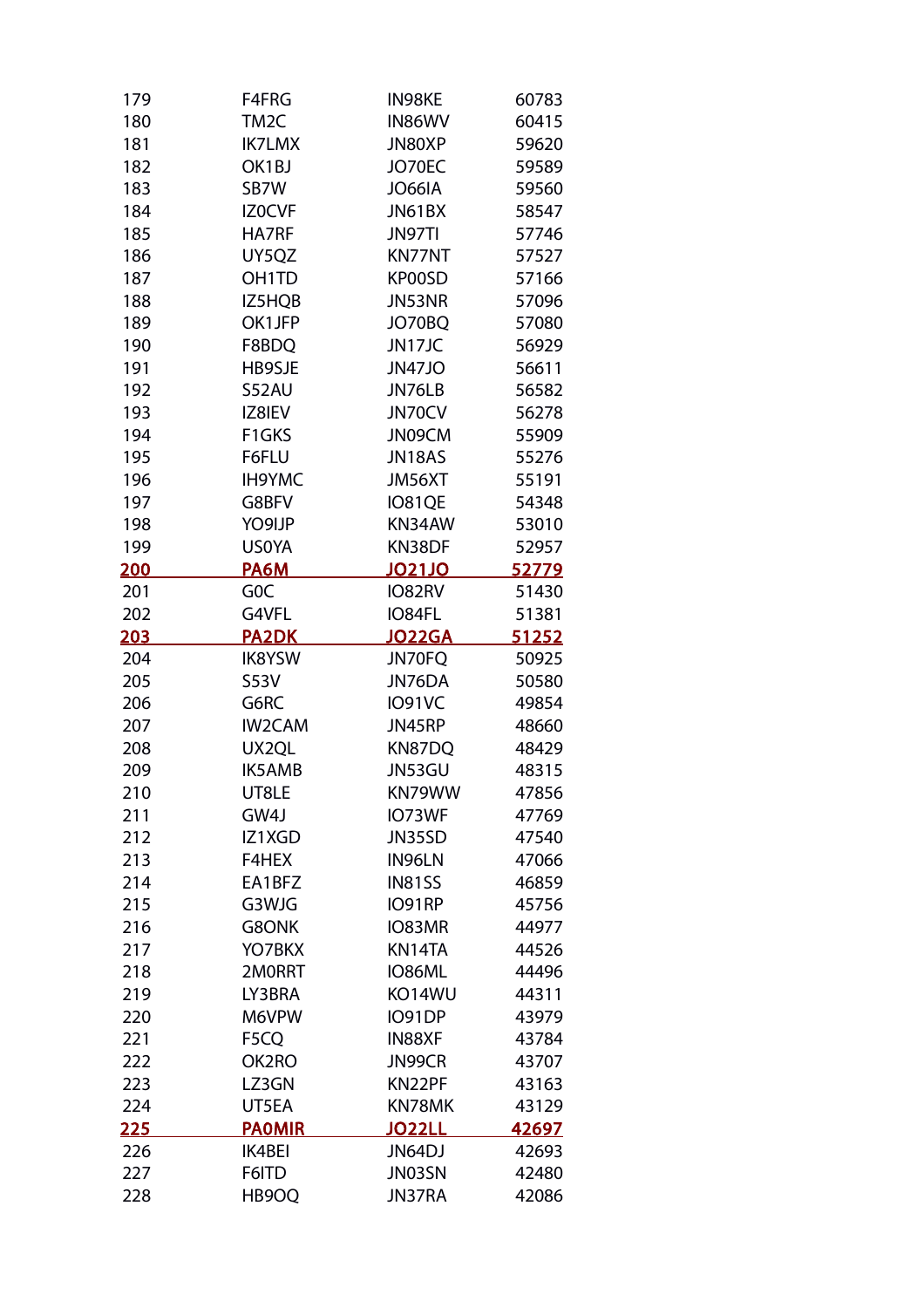| 179          | F4FRG             | IN98KE        | 60783        |
|--------------|-------------------|---------------|--------------|
| 180          | TM <sub>2</sub> C | IN86WV        | 60415        |
| 181          | <b>IK7LMX</b>     | JN80XP        | 59620        |
| 182          | OK1BJ             | JO70EC        | 59589        |
| 183          | SB7W              | <b>JO66IA</b> | 59560        |
| 184          | IZ0CVF            | JN61BX        | 58547        |
| 185          | HA7RF             | JN97TI        | 57746        |
| 186          | UY5QZ             | KN77NT        | 57527        |
| 187          | OH1TD             | KP00SD        | 57166        |
| 188          | IZ5HQB            | JN53NR        | 57096        |
| 189          | OK1JFP            | JO70BQ        | 57080        |
| 190          | F8BDQ             | JN17JC        | 56929        |
| 191          | HB9SJE            | <b>JN47JO</b> | 56611        |
| 192          | S52AU             | JN76LB        | 56582        |
| 193          | IZ8IEV            | JN70CV        | 56278        |
| 194          | F1GKS             | JN09CM        | 55909        |
| 195          | F6FLU             | JN18AS        | 55276        |
| 196          | <b>IH9YMC</b>     | JM56XT        | 55191        |
| 197          | G8BFV             | IO81QE        | 54348        |
| 198          | YO9IJP            | KN34AW        | 53010        |
| 199          | <b>USOYA</b>      | KN38DF        | 52957        |
| <u>200</u>   | <b>PA6M</b>       | <b>JO21JO</b> | 52779        |
| 201          | G <sub>O</sub> C  | IO82RV        | 51430        |
| 202          | G4VFL             | IO84FL        | 51381        |
| <u> 203</u>  | <b>PA2DK</b>      | <b>JO22GA</b> | <u>51252</u> |
| 204          | <b>IK8YSW</b>     | JN70FQ        | 50925        |
| 205          | <b>S53V</b>       | JN76DA        | 50580        |
| 206          | G6RC              | <b>IO91VC</b> | 49854        |
| 207          | <b>IW2CAM</b>     | JN45RP        | 48660        |
| 208          | UX2QL             | KN87DQ        | 48429        |
| 209          | <b>IK5AMB</b>     | JN53GU        | 48315        |
| 210          | UT8LE             | KN79WW        | 47856        |
| 211          | GW4J              | IO73WF        | 47769        |
| 212          | IZ1XGD            | JN35SD        | 47540        |
| 213          | F4HEX             | IN96LN        | 47066        |
| 214          | EA1BFZ            | <b>IN81SS</b> | 46859        |
| 215          | G3WJG             | IO91RP        | 45756        |
| 216          | G8ONK             | IO83MR        | 44977        |
| 217          | YO7BKX            | KN14TA        | 44526        |
| 218          | 2M0RRT            | IO86ML        | 44496        |
|              | LY3BRA            | KO14WU        | 44311        |
| 219          |                   |               |              |
| 220          | M6VPW             | IO91DP        | 43979        |
| 221          | F5CQ              | IN88XF        | 43784        |
| 222          | OK2RO             | JN99CR        | 43707        |
| 223          | LZ3GN             | KN22PF        | 43163        |
| 224          | UT5EA             | KN78MK        | 43129        |
| <u> 225 </u> | <b>PAOMIR</b>     | <b>JO22LL</b> | 42697        |
| 226          | <b>IK4BEI</b>     | JN64DJ        | 42693        |
| 227          | F6ITD             | JN03SN        | 42480        |
| 228          | HB9OQ             | JN37RA        | 42086        |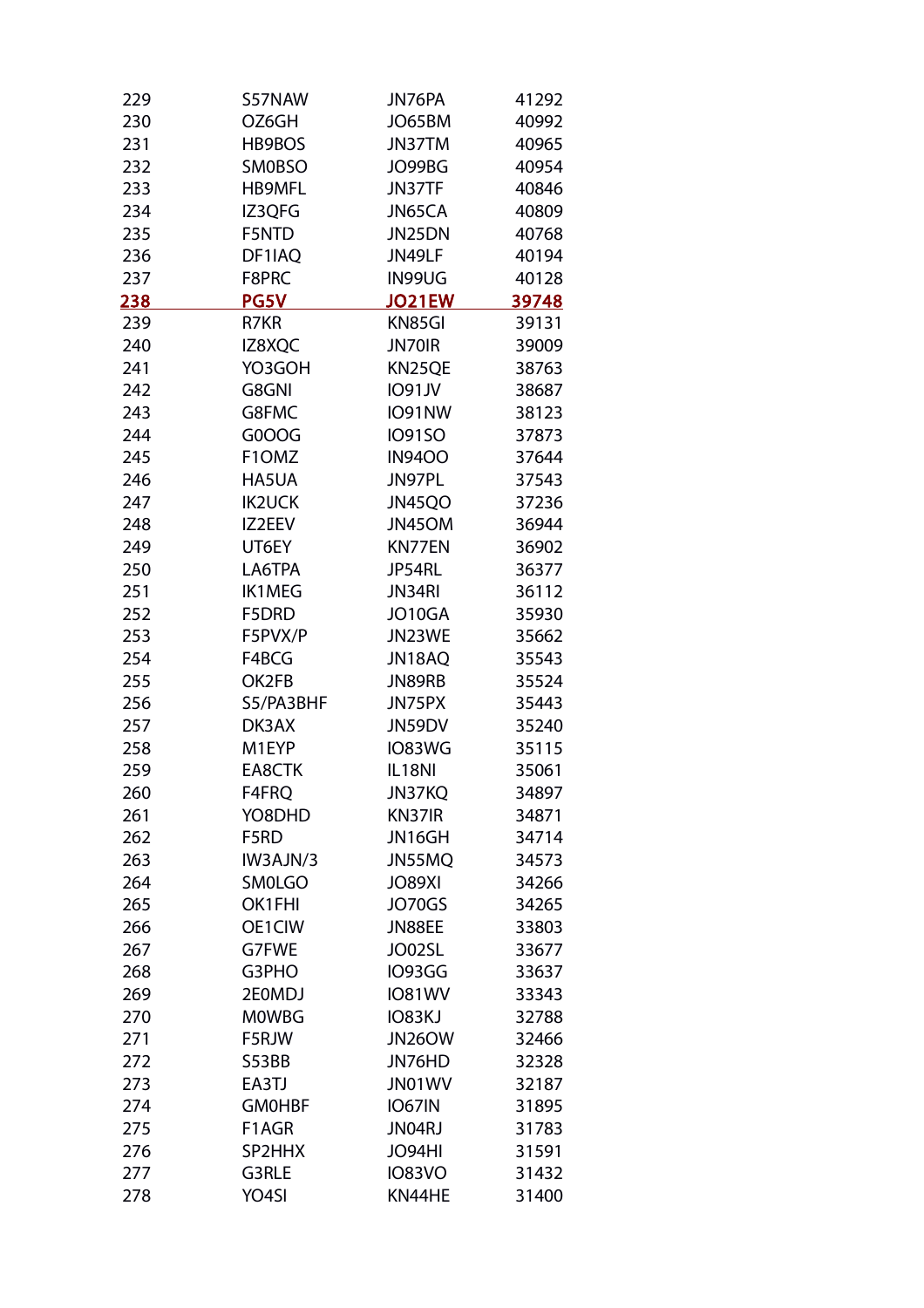| 229 | S57NAW        | JN76PA        | 41292 |
|-----|---------------|---------------|-------|
| 230 | OZ6GH         | JO65BM        | 40992 |
| 231 | HB9BOS        | JN37TM        | 40965 |
| 232 | <b>SMOBSO</b> | JO99BG        | 40954 |
| 233 | <b>HB9MFL</b> | JN37TF        | 40846 |
| 234 | IZ3QFG        | JN65CA        | 40809 |
| 235 | F5NTD         | JN25DN        | 40768 |
| 236 | DF1IAQ        | JN49LF        | 40194 |
| 237 | F8PRC         | IN99UG        | 40128 |
| 238 | <b>PG5V</b>   | <b>JO21EW</b> | 39748 |
| 239 | R7KR          | KN85GI        | 39131 |
| 240 | IZ8XQC        | JN70IR        | 39009 |
| 241 | YO3GOH        | KN25QE        | 38763 |
| 242 | G8GNI         | <b>IO91JV</b> | 38687 |
| 243 | G8FMC         | IO91NW        | 38123 |
| 244 | G0OOG         | <b>IO91SO</b> | 37873 |
| 245 | F1OMZ         | <b>IN9400</b> | 37644 |
| 246 | HA5UA         | JN97PL        | 37543 |
| 247 | <b>IK2UCK</b> | JN45QO        | 37236 |
| 248 | IZ2EEV        | JN45OM        | 36944 |
| 249 | UT6EY         | KN77EN        | 36902 |
| 250 | LA6TPA        | JP54RL        | 36377 |
| 251 | <b>IK1MEG</b> | JN34RI        | 36112 |
| 252 | F5DRD         | JO10GA        | 35930 |
| 253 | F5PVX/P       | JN23WE        | 35662 |
| 254 | F4BCG         | JN18AQ        | 35543 |
| 255 | OK2FB         | JN89RB        | 35524 |
| 256 | S5/PA3BHF     | JN75PX        | 35443 |
| 257 | DK3AX         | JN59DV        | 35240 |
| 258 | M1EYP         | IO83WG        | 35115 |
| 259 | EA8CTK        | IL18NI        | 35061 |
| 260 | F4FRQ         | <b>JN37KQ</b> | 34897 |
| 261 | YO8DHD        | KN37IR        | 34871 |
| 262 | F5RD          | JN16GH        | 34714 |
| 263 | IW3AJN/3      | JN55MQ        | 34573 |
| 264 | <b>SM0LGO</b> | <b>JO89XI</b> | 34266 |
| 265 | OK1FHI        | JO70GS        | 34265 |
| 266 | OE1CIW        | JN88EE        | 33803 |
| 267 | G7FWE         | JO02SL        | 33677 |
| 268 | G3PHO         | IO93GG        | 33637 |
| 269 | 2E0MDJ        | <b>IO81WV</b> | 33343 |
| 270 | <b>MOWBG</b>  | IO83KJ        | 32788 |
| 271 | F5RJW         | JN26OW        | 32466 |
| 272 | S53BB         | JN76HD        | 32328 |
| 273 | EA3TJ         | JN01WV        | 32187 |
| 274 | <b>GMOHBF</b> | <b>IO67IN</b> | 31895 |
| 275 | F1AGR         | JN04RJ        | 31783 |
| 276 | SP2HHX        | JO94HI        | 31591 |
| 277 | G3RLE         | <b>IO83VO</b> | 31432 |
| 278 | YO4SI         | KN44HE        | 31400 |
|     |               |               |       |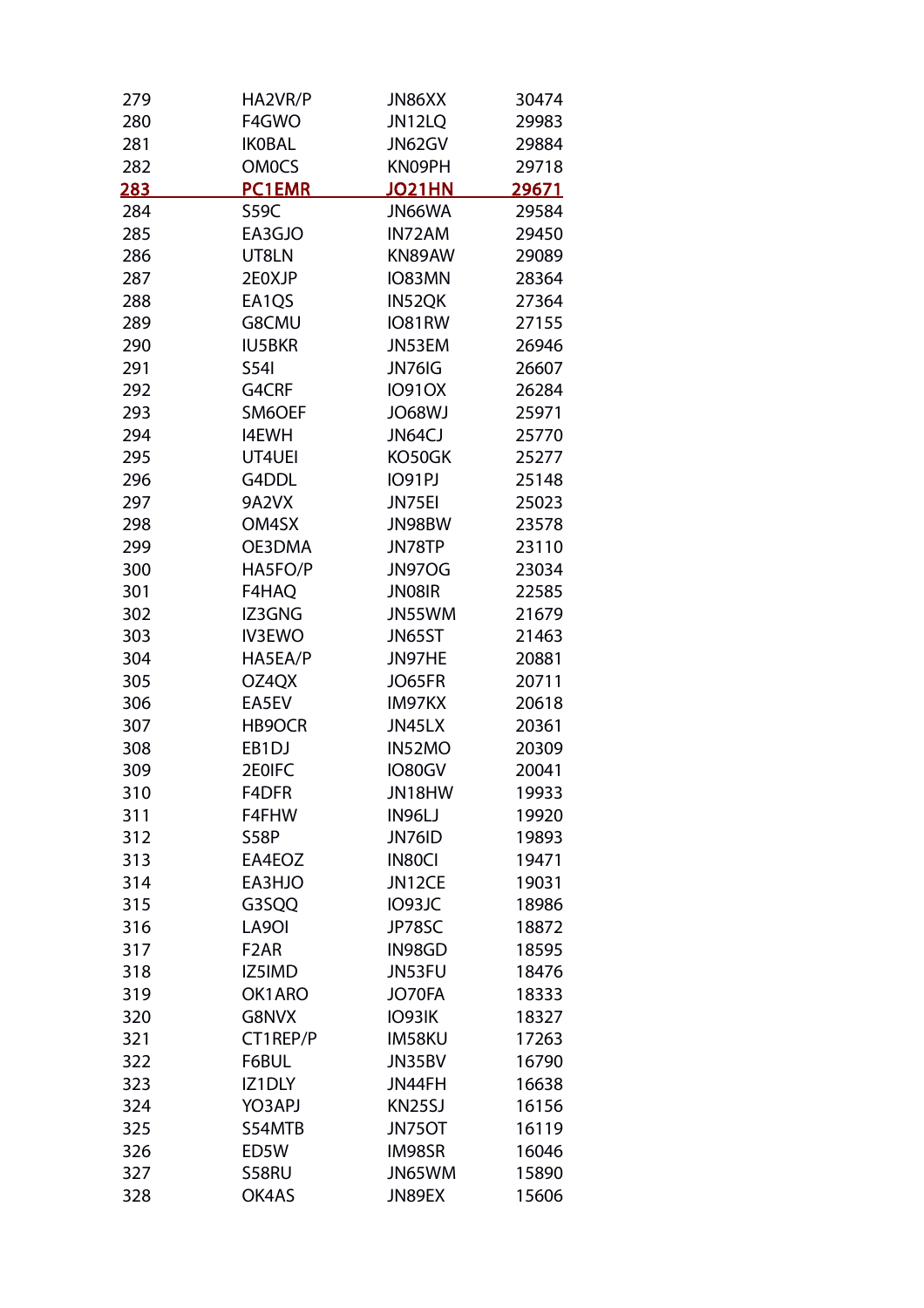| F4GWO<br>JN12LQ<br>280<br>281<br><b>IKOBAL</b><br>JN62GV<br><b>OM0CS</b><br>282<br>KN09PH<br><b>PC1EMR</b><br>283<br><b>JO21HN</b><br>JN66WA<br>284<br>S59C<br>EA3GJO<br>285<br>IN72AM<br>UT8LN<br>KN89AW<br>286 | 29983<br>29884<br>29718<br>29671 |
|------------------------------------------------------------------------------------------------------------------------------------------------------------------------------------------------------------------|----------------------------------|
|                                                                                                                                                                                                                  |                                  |
|                                                                                                                                                                                                                  |                                  |
|                                                                                                                                                                                                                  |                                  |
|                                                                                                                                                                                                                  |                                  |
|                                                                                                                                                                                                                  | 29584                            |
|                                                                                                                                                                                                                  | 29450                            |
|                                                                                                                                                                                                                  | 29089                            |
| 2E0XJP<br>IO83MN<br>287                                                                                                                                                                                          | 28364                            |
| EA1QS<br>288<br>IN52QK                                                                                                                                                                                           | 27364                            |
| G8CMU<br>IO81RW<br>289                                                                                                                                                                                           | 27155                            |
| <b>IU5BKR</b><br>JN53EM<br>290                                                                                                                                                                                   | 26946                            |
| 291<br>JN76IG<br>S54I                                                                                                                                                                                            | 26607                            |
| 292<br>G4CRF<br><b>IO91OX</b>                                                                                                                                                                                    | 26284                            |
| 293<br>SM6OEF<br><b>JO68WJ</b>                                                                                                                                                                                   | 25971                            |
| JN64CJ<br>294<br><b>I4EWH</b>                                                                                                                                                                                    | 25770                            |
| 295<br>KO50GK<br>UT4UEI                                                                                                                                                                                          | 25277                            |
| G4DDL<br><b>IO91PJ</b><br>296                                                                                                                                                                                    | 25148                            |
| 297<br>9A2VX<br>JN75EI                                                                                                                                                                                           | 25023                            |
| 298<br>OM4SX<br>JN98BW                                                                                                                                                                                           | 23578                            |
| 299<br>OE3DMA<br>JN78TP                                                                                                                                                                                          | 23110                            |
| 300<br>HA5FO/P<br><b>JN97OG</b>                                                                                                                                                                                  | 23034                            |
| F4HAQ<br>JN08IR<br>301                                                                                                                                                                                           | 22585                            |
| 302<br>IZ3GNG<br>JN55WM                                                                                                                                                                                          | 21679                            |
| <b>IV3EWO</b><br>JN65ST<br>303                                                                                                                                                                                   | 21463                            |
| HA5EA/P<br>304<br>JN97HE                                                                                                                                                                                         | 20881                            |
| 305<br>OZ4QX<br>JO65FR                                                                                                                                                                                           | 20711                            |
| EA5EV<br>IM97KX<br>306                                                                                                                                                                                           | 20618                            |
| 307<br>HB9OCR<br>JN45LX                                                                                                                                                                                          | 20361                            |
| EB1DJ<br>IN52MO<br>308                                                                                                                                                                                           | 20309                            |
| 309<br>2E0IFC<br>IO80GV                                                                                                                                                                                          | 20041                            |
| 310<br>F4DFR<br>JN18HW                                                                                                                                                                                           | 19933                            |
| 311<br>F4FHW<br>IN96LJ                                                                                                                                                                                           | 19920                            |
| 312<br>S58P<br>JN76ID                                                                                                                                                                                            | 19893                            |
| EA4EOZ<br>IN80CI<br>313                                                                                                                                                                                          | 19471                            |
| 314<br>EA3HJO<br>JN12CE                                                                                                                                                                                          | 19031                            |
| IO93JC<br>315<br>G3SQQ                                                                                                                                                                                           | 18986                            |
| LA9OI<br>JP78SC<br>316                                                                                                                                                                                           | 18872                            |
| 317<br>F <sub>2</sub> AR<br>IN98GD                                                                                                                                                                               | 18595                            |
| JN53FU<br>318<br>IZ5IMD                                                                                                                                                                                          | 18476                            |
| 319<br>OK1ARO<br>JO70FA                                                                                                                                                                                          | 18333                            |
| G8NVX<br>IO93IK<br>320                                                                                                                                                                                           | 18327                            |
| CT1REP/P<br>IM58KU<br>321                                                                                                                                                                                        | 17263                            |
| 322<br>F6BUL<br>JN35BV                                                                                                                                                                                           | 16790                            |
| IZ1DLY<br>JN44FH<br>323                                                                                                                                                                                          | 16638                            |
| YO3APJ<br>KN25SJ<br>324                                                                                                                                                                                          | 16156                            |
| S54MTB<br>325<br>JN75OT                                                                                                                                                                                          | 16119                            |
| ED5W<br>IM98SR<br>326                                                                                                                                                                                            | 16046                            |
| JN65WM<br>327<br>S58RU                                                                                                                                                                                           | 15890                            |
| OK4AS<br>JN89EX<br>328                                                                                                                                                                                           | 15606                            |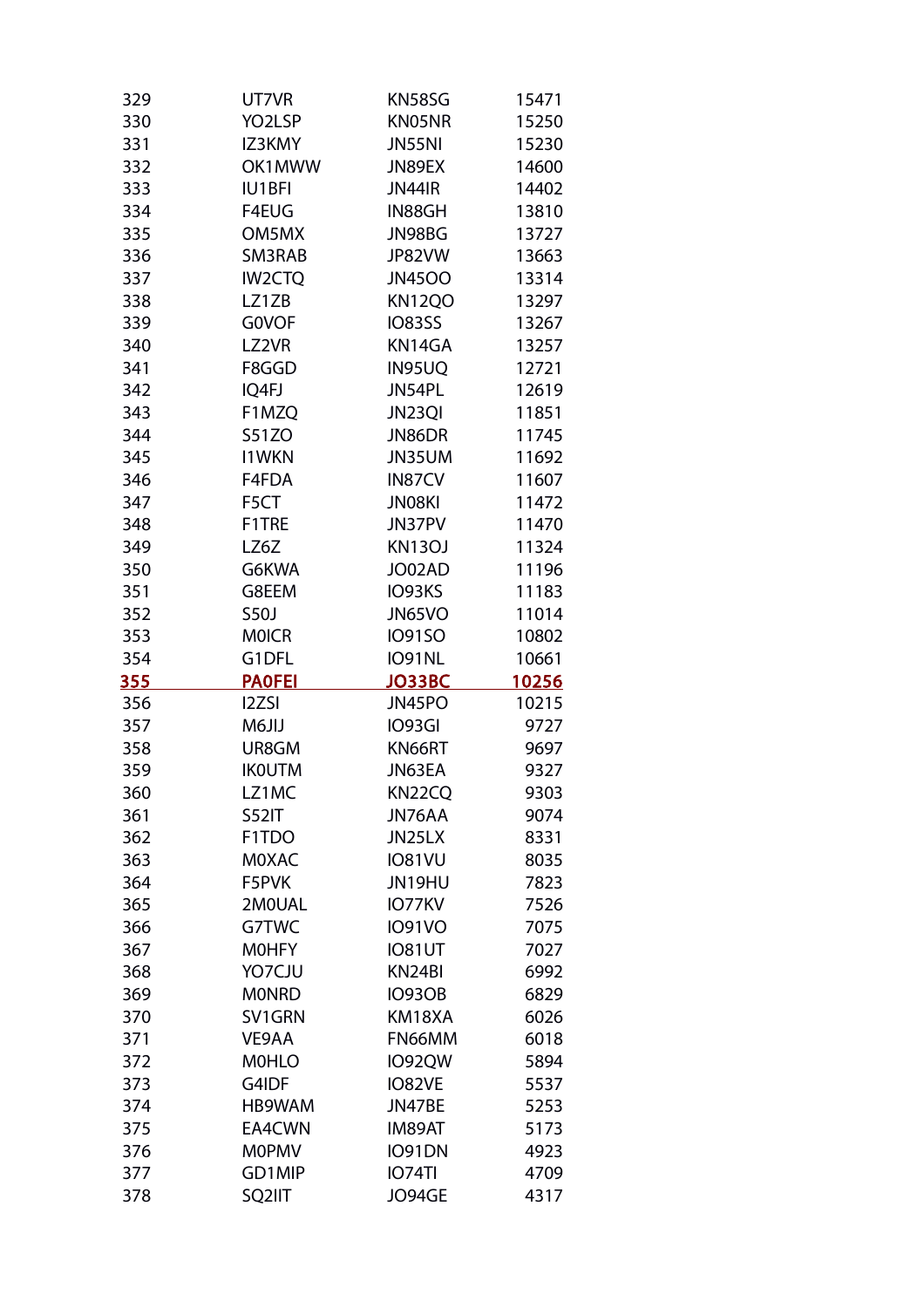| 329        | UT7VR                           | KN58SG                  | 15471        |
|------------|---------------------------------|-------------------------|--------------|
| 330        | YO2LSP                          | KN05NR                  | 15250        |
| 331        | IZ3KMY                          | <b>JN55NI</b>           | 15230        |
| 332        | OK1MWW                          | JN89EX                  | 14600        |
| 333        | <b>IU1BFI</b>                   | <b>JN44IR</b>           | 14402        |
| 334        | F4EUG                           | IN88GH                  | 13810        |
| 335        | OM5MX                           | JN98BG                  | 13727        |
| 336        | SM3RAB                          | JP82VW                  | 13663        |
| 337        | <b>IW2CTQ</b>                   | <b>JN45OO</b>           | 13314        |
| 338        | LZ1ZB                           | <b>KN12QO</b>           | 13297        |
| 339        | <b>GOVOF</b>                    | <b>IO83SS</b>           | 13267        |
| 340        | LZ2VR                           | KN14GA                  | 13257        |
| 341        | F8GGD                           | IN95UQ                  | 12721        |
| 342        | IQ4FJ                           | JN54PL                  | 12619        |
| 343        | F1MZQ                           | JN23QI                  | 11851        |
| 344        | <b>S51ZO</b>                    | JN86DR                  | 11745        |
| 345        | <b>I1WKN</b>                    | JN35UM                  | 11692        |
| 346        | F4FDA                           | IN87CV                  | 11607        |
| 347        | F5CT                            | JN08KI                  | 11472        |
| 348        | F1TRE                           | JN37PV                  | 11470        |
| 349        | LZ6Z                            | <b>KN13OJ</b>           | 11324        |
| 350        | G6KWA                           | JO02AD                  | 11196        |
| 351        | G8EEM                           | IO93KS                  | 11183        |
| 352        | <b>S50J</b>                     | JN65VO                  | 11014        |
| 353        | <b>MOICR</b>                    | <b>IO91SO</b>           | 10802        |
| 354        | G1DFL                           | <b>IO91NL</b>           | 10661        |
| 355        | <b>PAOFEI</b>                   | <b>JO33BC</b>           | 10256        |
| 356        | <b>I2ZSI</b>                    |                         |              |
|            |                                 |                         |              |
|            |                                 | JN45PO                  | 10215        |
| 357        | <b>M6JIJ</b>                    | IO93GI                  | 9727         |
| 358        | UR8GM                           | KN66RT                  | 9697         |
| 359        | <b>IKOUTM</b>                   | JN63EA                  | 9327         |
| 360        | LZ1MC                           | KN22CQ                  | 9303         |
| 361        | <b>S52IT</b>                    | JN76AA                  | 9074         |
| 362        | F <sub>1</sub> T <sub>D</sub> O | JN25LX                  | 8331         |
| 363        | <b>MOXAC</b>                    | <b>IO81VU</b>           | 8035         |
| 364        | F5PVK                           | JN19HU                  | 7823         |
| 365        | 2M0UAL                          | IO77KV                  | 7526         |
| 366        | G7TWC                           | <b>IO91VO</b>           | 7075         |
| 367        | <b>MOHFY</b>                    | <b>IO81UT</b>           | 7027         |
| 368        | YO7CJU                          | KN24BI                  | 6992         |
| 369        | <b>MONRD</b>                    | <b>IO93OB</b>           | 6829         |
| 370        | SV1GRN                          | KM18XA                  | 6026         |
| 371        | VE9AA                           | FN66MM                  | 6018         |
| 372        | <b>MOHLO</b>                    | <b>IO92QW</b>           | 5894         |
| 373        | G4IDF                           | IO82VE                  | 5537         |
| 374        | HB9WAM                          | JN47BE                  | 5253         |
| 375        | EA4CWN                          | IM89AT                  | 5173         |
| 376        | <b>MOPMV</b>                    | IO91DN                  | 4923         |
| 377<br>378 | GD1MIP<br>SQ2IIT                | <b>IO74TI</b><br>JO94GE | 4709<br>4317 |